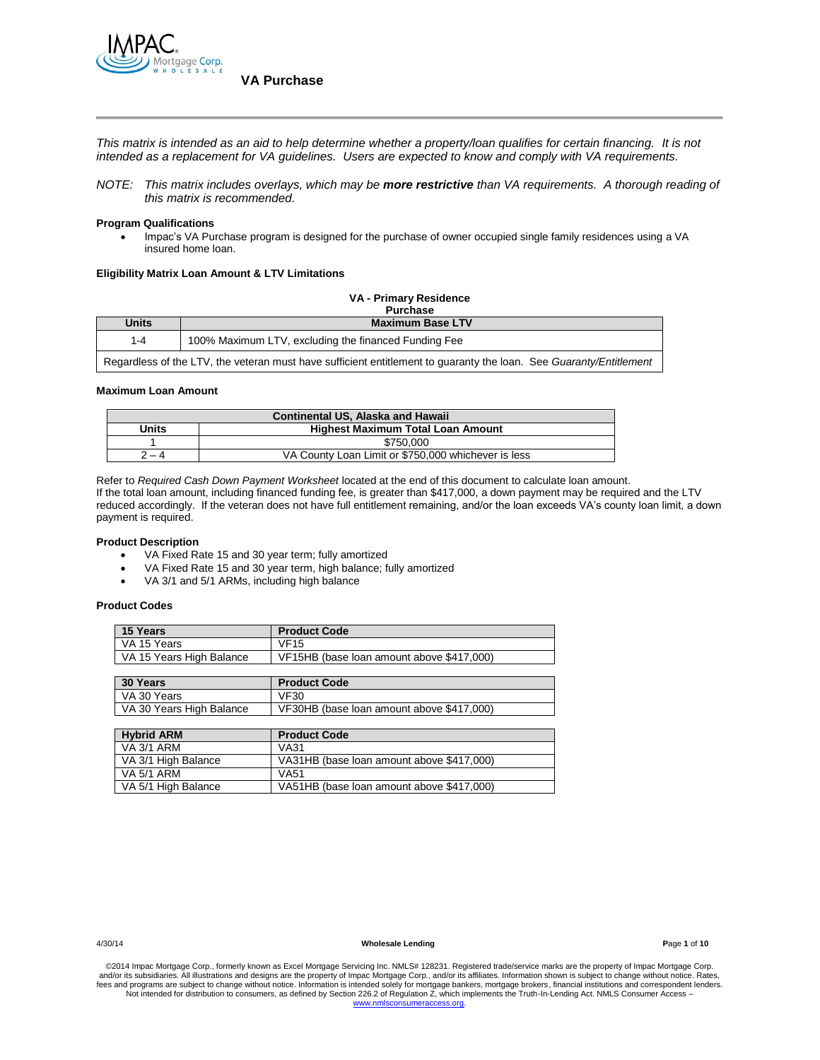

*This matrix is intended as an aid to help determine whether a property/loan qualifies for certain financing. It is not intended as a replacement for VA guidelines. Users are expected to know and comply with VA requirements.*

*NOTE: This matrix includes overlays, which may be more restrictive than VA requirements. A thorough reading of this matrix is recommended.*

#### **Program Qualifications**

 Impac's VA Purchase program is designed for the purchase of owner occupied single family residences using a VA insured home loan.

### **Eligibility Matrix Loan Amount & LTV Limitations**

| VA - Primary Residence<br><b>Purchase</b>                                                                          |                                                      |  |  |
|--------------------------------------------------------------------------------------------------------------------|------------------------------------------------------|--|--|
| <b>Units</b>                                                                                                       | <b>Maximum Base LTV</b>                              |  |  |
| $1 - 4$                                                                                                            | 100% Maximum LTV, excluding the financed Funding Fee |  |  |
| Regardless of the LTV, the veteran must have sufficient entitlement to guaranty the loan. See Guaranty/Entitlement |                                                      |  |  |

#### **Maximum Loan Amount**

| <b>Continental US, Alaska and Hawaii</b>                       |                                          |  |  |
|----------------------------------------------------------------|------------------------------------------|--|--|
| <b>Units</b>                                                   | <b>Highest Maximum Total Loan Amount</b> |  |  |
|                                                                | \$750,000                                |  |  |
| VA County Loan Limit or \$750,000 whichever is less<br>$2 - 4$ |                                          |  |  |

Refer to *Required Cash Down Payment Worksheet* located at the end of this document to calculate loan amount. If the total loan amount, including financed funding fee, is greater than \$417,000, a down payment may be required and the LTV reduced accordingly. If the veteran does not have full entitlement remaining, and/or the loan exceeds VA's county loan limit, a down payment is required.

#### **Product Description**

- VA Fixed Rate 15 and 30 year term; fully amortized
- VA Fixed Rate 15 and 30 year term, high balance; fully amortized
- VA 3/1 and 5/1 ARMs, including high balance

### **Product Codes**

| 15 Years                 | <b>Product Code</b>                       |
|--------------------------|-------------------------------------------|
| VA 15 Years              | <b>VF15</b>                               |
| VA 15 Years High Balance | VF15HB (base loan amount above \$417,000) |

| 30 Years                 | <b>Product Code</b>                       |
|--------------------------|-------------------------------------------|
| VA 30 Years              | <b>VF30</b>                               |
| VA 30 Years High Balance | VF30HB (base loan amount above \$417,000) |

| <b>Hybrid ARM</b>   | <b>Product Code</b>                       |
|---------------------|-------------------------------------------|
| VA 3/1 ARM          | VA31                                      |
| VA 3/1 High Balance | VA31HB (base loan amount above \$417,000) |
| VA 5/1 ARM          | <b>VA51</b>                               |
| VA 5/1 High Balance | VA51HB (base loan amount above \$417,000) |

4/30/14 **Wholesale Lending P**age **1** of **10**

©2014 Impac Mortgage Corp., formerly known as Excel Mortgage Servicing Inc. NMLS# 128231. Registered trade/service marks are the property of Impac Mortgage Corp.<br>and/or its subsidiaries. All illustrations and designs are t fees and programs are subject to change without notice. Information is intended solely for mortgage bankers, mortgage brokers, financial institutions and correspondent lenders.<br>Not intended for distribution to consumers, a [www.nmlsconsumeraccess.org.](http://www.nmlsconsumeraccess.org/)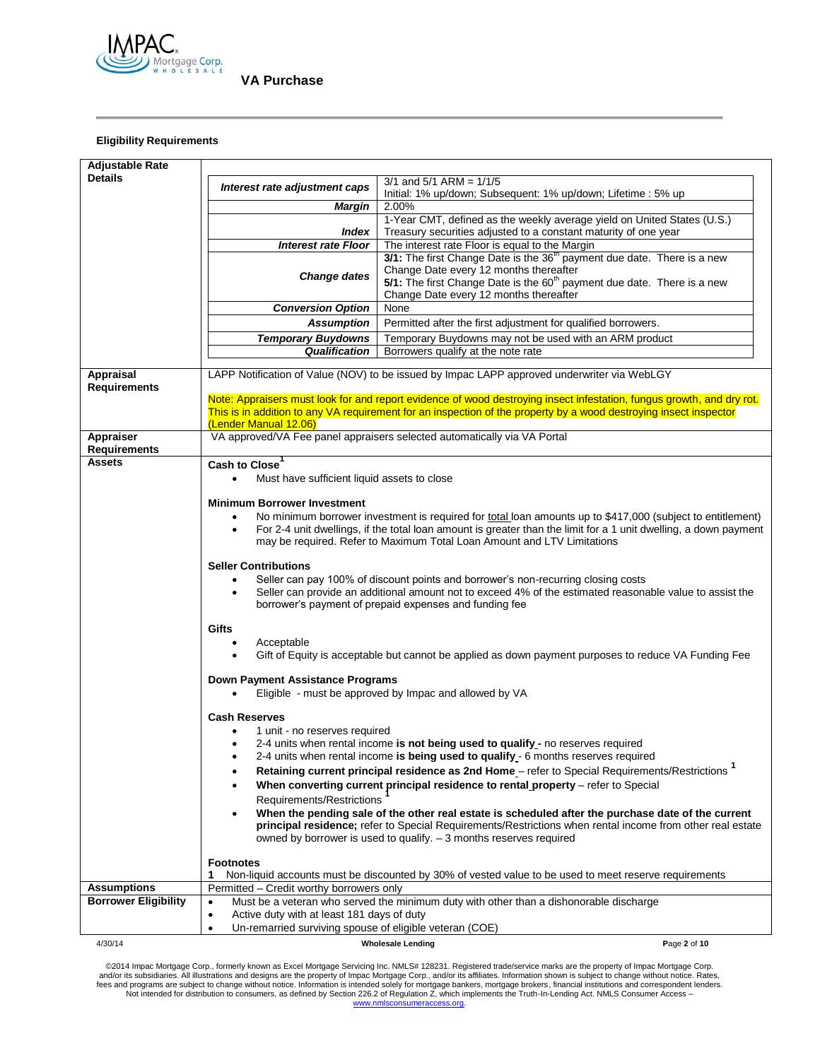

### **Eligibility Requirements**

| <b>Adjustable Rate</b>                            |                                                                                                                                                                                                          |                                                                                                                                                                                                                 |              |  |
|---------------------------------------------------|----------------------------------------------------------------------------------------------------------------------------------------------------------------------------------------------------------|-----------------------------------------------------------------------------------------------------------------------------------------------------------------------------------------------------------------|--------------|--|
| <b>Details</b>                                    | Interest rate adjustment caps                                                                                                                                                                            | $3/1$ and $5/1$ ARM = $1/1/5$                                                                                                                                                                                   |              |  |
|                                                   |                                                                                                                                                                                                          | Initial: 1% up/down; Subsequent: 1% up/down; Lifetime: 5% up                                                                                                                                                    |              |  |
|                                                   | Margin                                                                                                                                                                                                   | 2.00%                                                                                                                                                                                                           |              |  |
|                                                   | <b>Index</b>                                                                                                                                                                                             | 1-Year CMT, defined as the weekly average yield on United States (U.S.)<br>Treasury securities adjusted to a constant maturity of one year                                                                      |              |  |
|                                                   | <b>Interest rate Floor</b>                                                                                                                                                                               | The interest rate Floor is equal to the Margin                                                                                                                                                                  |              |  |
|                                                   |                                                                                                                                                                                                          | 3/1: The first Change Date is the 36 <sup>th</sup> payment due date. There is a new                                                                                                                             |              |  |
|                                                   |                                                                                                                                                                                                          | Change Date every 12 months thereafter                                                                                                                                                                          |              |  |
|                                                   | <b>Change dates</b>                                                                                                                                                                                      | 5/1: The first Change Date is the 60 <sup>th</sup> payment due date. There is a new                                                                                                                             |              |  |
|                                                   |                                                                                                                                                                                                          | Change Date every 12 months thereafter                                                                                                                                                                          |              |  |
|                                                   | <b>Conversion Option</b>                                                                                                                                                                                 | None                                                                                                                                                                                                            |              |  |
|                                                   | <b>Assumption</b>                                                                                                                                                                                        | Permitted after the first adjustment for qualified borrowers.                                                                                                                                                   |              |  |
|                                                   | <b>Temporary Buydowns</b>                                                                                                                                                                                | Temporary Buydowns may not be used with an ARM product                                                                                                                                                          |              |  |
|                                                   | <b>Qualification</b>                                                                                                                                                                                     | Borrowers qualify at the note rate                                                                                                                                                                              |              |  |
| Appraisal<br><b>Requirements</b>                  |                                                                                                                                                                                                          | LAPP Notification of Value (NOV) to be issued by Impac LAPP approved underwriter via WebLGY                                                                                                                     |              |  |
|                                                   |                                                                                                                                                                                                          | Note: Appraisers must look for and report evidence of wood destroying insect infestation, fungus growth, and dry rot.                                                                                           |              |  |
|                                                   | (Lender Manual 12.06)                                                                                                                                                                                    | This is in addition to any VA requirement for an inspection of the property by a wood destroying insect inspector                                                                                               |              |  |
| Appraiser                                         |                                                                                                                                                                                                          | VA approved/VA Fee panel appraisers selected automatically via VA Portal                                                                                                                                        |              |  |
| <b>Requirements</b>                               |                                                                                                                                                                                                          |                                                                                                                                                                                                                 |              |  |
| <b>Assets</b>                                     | Cash to Close                                                                                                                                                                                            |                                                                                                                                                                                                                 |              |  |
|                                                   | Must have sufficient liquid assets to close<br>$\bullet$                                                                                                                                                 |                                                                                                                                                                                                                 |              |  |
|                                                   |                                                                                                                                                                                                          |                                                                                                                                                                                                                 |              |  |
|                                                   | <b>Minimum Borrower Investment</b>                                                                                                                                                                       |                                                                                                                                                                                                                 |              |  |
|                                                   | No minimum borrower investment is required for total loan amounts up to \$417,000 (subject to entitlement)<br>$\bullet$                                                                                  |                                                                                                                                                                                                                 |              |  |
|                                                   | For 2-4 unit dwellings, if the total loan amount is greater than the limit for a 1 unit dwelling, a down payment<br>$\bullet$<br>may be required. Refer to Maximum Total Loan Amount and LTV Limitations |                                                                                                                                                                                                                 |              |  |
|                                                   | <b>Seller Contributions</b>                                                                                                                                                                              |                                                                                                                                                                                                                 |              |  |
|                                                   | Seller can pay 100% of discount points and borrower's non-recurring closing costs<br>$\bullet$                                                                                                           |                                                                                                                                                                                                                 |              |  |
|                                                   | $\bullet$                                                                                                                                                                                                | Seller can provide an additional amount not to exceed 4% of the estimated reasonable value to assist the                                                                                                        |              |  |
|                                                   |                                                                                                                                                                                                          | borrower's payment of prepaid expenses and funding fee                                                                                                                                                          |              |  |
|                                                   | Gifts                                                                                                                                                                                                    |                                                                                                                                                                                                                 |              |  |
|                                                   | Acceptable                                                                                                                                                                                               |                                                                                                                                                                                                                 |              |  |
|                                                   | $\bullet$                                                                                                                                                                                                | Gift of Equity is acceptable but cannot be applied as down payment purposes to reduce VA Funding Fee<br>Down Payment Assistance Programs<br>Eligible - must be approved by Impac and allowed by VA              |              |  |
|                                                   |                                                                                                                                                                                                          |                                                                                                                                                                                                                 |              |  |
|                                                   |                                                                                                                                                                                                          |                                                                                                                                                                                                                 |              |  |
|                                                   | <b>Cash Reserves</b>                                                                                                                                                                                     |                                                                                                                                                                                                                 |              |  |
|                                                   | 1 unit - no reserves required                                                                                                                                                                            |                                                                                                                                                                                                                 |              |  |
|                                                   |                                                                                                                                                                                                          | 2-4 units when rental income is not being used to qualify - no reserves required                                                                                                                                |              |  |
|                                                   |                                                                                                                                                                                                          | 2-4 units when rental income is being used to qualify - 6 months reserves required                                                                                                                              |              |  |
|                                                   | $\bullet$                                                                                                                                                                                                | Retaining current principal residence as 2nd Home - refer to Special Requirements/Restrictions                                                                                                                  |              |  |
|                                                   |                                                                                                                                                                                                          | When converting current principal residence to rental property - refer to Special                                                                                                                               |              |  |
|                                                   | Requirements/Restrictions                                                                                                                                                                                |                                                                                                                                                                                                                 |              |  |
|                                                   | $\bullet$                                                                                                                                                                                                | When the pending sale of the other real estate is scheduled after the purchase date of the current<br>principal residence; refer to Special Requirements/Restrictions when rental income from other real estate |              |  |
|                                                   |                                                                                                                                                                                                          | owned by borrower is used to qualify. $-3$ months reserves required                                                                                                                                             |              |  |
|                                                   |                                                                                                                                                                                                          |                                                                                                                                                                                                                 |              |  |
|                                                   | <b>Footnotes</b>                                                                                                                                                                                         |                                                                                                                                                                                                                 |              |  |
|                                                   | 1                                                                                                                                                                                                        | Non-liquid accounts must be discounted by 30% of vested value to be used to meet reserve requirements                                                                                                           |              |  |
| <b>Assumptions</b><br><b>Borrower Eligibility</b> | Permitted – Credit worthy borrowers only                                                                                                                                                                 | Must be a veteran who served the minimum duty with other than a dishonorable discharge                                                                                                                          |              |  |
|                                                   | $\bullet$<br>Active duty with at least 181 days of duty<br>$\bullet$                                                                                                                                     |                                                                                                                                                                                                                 |              |  |
|                                                   | Un-remarried surviving spouse of eligible veteran (COE)<br>$\bullet$                                                                                                                                     |                                                                                                                                                                                                                 |              |  |
| 4/30/14                                           |                                                                                                                                                                                                          | <b>Wholesale Lending</b>                                                                                                                                                                                        | Page 2 of 10 |  |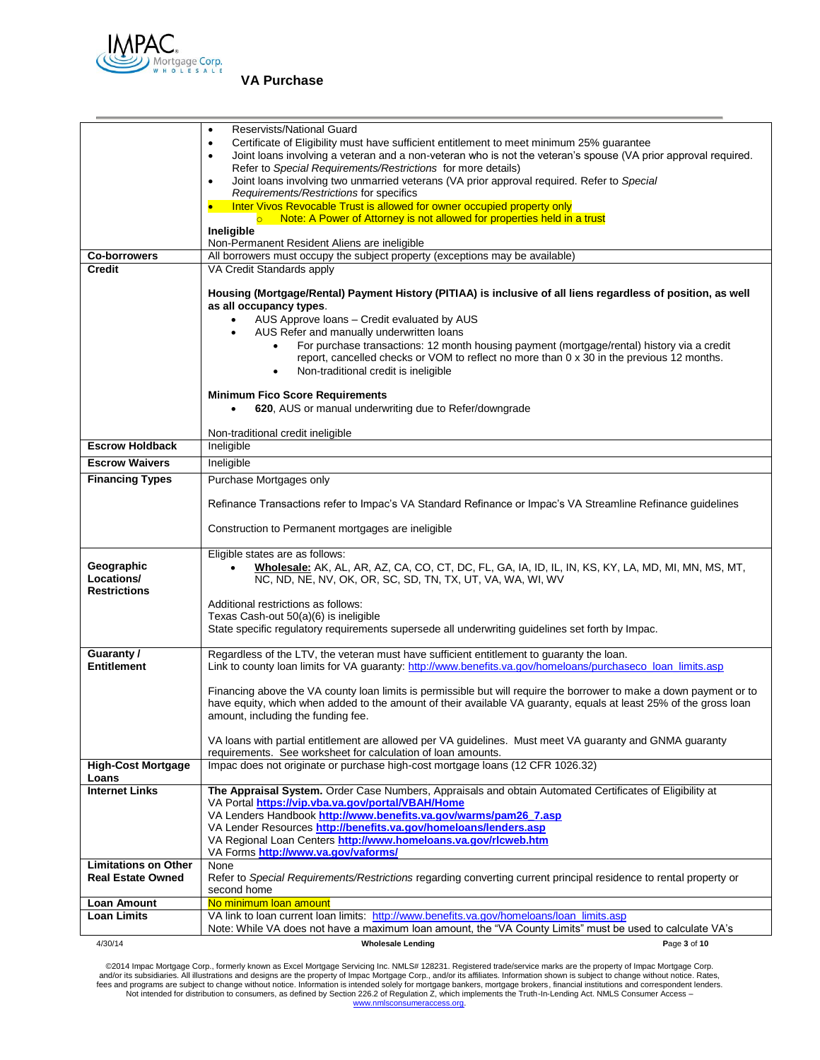

|                                   | Reservists/National Guard<br>$\bullet$                                                                                                                                                                   |  |  |  |  |
|-----------------------------------|----------------------------------------------------------------------------------------------------------------------------------------------------------------------------------------------------------|--|--|--|--|
|                                   | Certificate of Eligibility must have sufficient entitlement to meet minimum 25% guarantee<br>$\bullet$                                                                                                   |  |  |  |  |
|                                   | Joint loans involving a veteran and a non-veteran who is not the veteran's spouse (VA prior approval required.<br>$\bullet$                                                                              |  |  |  |  |
|                                   | Refer to Special Requirements/Restrictions for more details)                                                                                                                                             |  |  |  |  |
|                                   | Joint loans involving two unmarried veterans (VA prior approval required. Refer to Special<br>$\bullet$<br>Requirements/Restrictions for specifics                                                       |  |  |  |  |
|                                   | Inter Vivos Revocable Trust is allowed for owner occupied property only                                                                                                                                  |  |  |  |  |
|                                   | o Note: A Power of Attorney is not allowed for properties held in a trust                                                                                                                                |  |  |  |  |
|                                   | Ineligible                                                                                                                                                                                               |  |  |  |  |
|                                   | Non-Permanent Resident Aliens are ineligible                                                                                                                                                             |  |  |  |  |
| <b>Co-borrowers</b>               | All borrowers must occupy the subject property (exceptions may be available)                                                                                                                             |  |  |  |  |
| <b>Credit</b>                     | VA Credit Standards apply                                                                                                                                                                                |  |  |  |  |
|                                   | Housing (Mortgage/Rental) Payment History (PITIAA) is inclusive of all liens regardless of position, as well<br>as all occupancy types.                                                                  |  |  |  |  |
|                                   | AUS Approve Ioans - Credit evaluated by AUS<br>$\bullet$                                                                                                                                                 |  |  |  |  |
|                                   | AUS Refer and manually underwritten loans<br>$\bullet$                                                                                                                                                   |  |  |  |  |
|                                   | For purchase transactions: 12 month housing payment (mortgage/rental) history via a credit<br>$\bullet$                                                                                                  |  |  |  |  |
|                                   | report, cancelled checks or VOM to reflect no more than 0 x 30 in the previous 12 months.<br>Non-traditional credit is ineligible<br>٠                                                                   |  |  |  |  |
|                                   |                                                                                                                                                                                                          |  |  |  |  |
|                                   | <b>Minimum Fico Score Requirements</b>                                                                                                                                                                   |  |  |  |  |
|                                   | 620, AUS or manual underwriting due to Refer/downgrade<br>$\bullet$                                                                                                                                      |  |  |  |  |
|                                   | Non-traditional credit ineligible                                                                                                                                                                        |  |  |  |  |
| <b>Escrow Holdback</b>            | Ineligible                                                                                                                                                                                               |  |  |  |  |
| <b>Escrow Waivers</b>             | Ineligible                                                                                                                                                                                               |  |  |  |  |
| <b>Financing Types</b>            | Purchase Mortgages only                                                                                                                                                                                  |  |  |  |  |
|                                   |                                                                                                                                                                                                          |  |  |  |  |
|                                   | Refinance Transactions refer to Impac's VA Standard Refinance or Impac's VA Streamline Refinance guidelines                                                                                              |  |  |  |  |
|                                   | Construction to Permanent mortgages are ineligible                                                                                                                                                       |  |  |  |  |
| Geographic                        | Eligible states are as follows:<br>Wholesale: AK, AL, AR, AZ, CA, CO, CT, DC, FL, GA, IA, ID, IL, IN, KS, KY, LA, MD, MI, MN, MS, MT,<br>$\bullet$                                                       |  |  |  |  |
| Locations/<br><b>Restrictions</b> | NC, ND, NE, NV, OK, OR, SC, SD, TN, TX, UT, VA, WA, WI, WV                                                                                                                                               |  |  |  |  |
|                                   | Additional restrictions as follows:                                                                                                                                                                      |  |  |  |  |
|                                   | Texas Cash-out 50(a)(6) is ineligible<br>State specific regulatory requirements supersede all underwriting guidelines set forth by Impac.                                                                |  |  |  |  |
|                                   |                                                                                                                                                                                                          |  |  |  |  |
| Guaranty/<br><b>Entitlement</b>   | Regardless of the LTV, the veteran must have sufficient entitlement to guaranty the loan.<br>Link to county loan limits for VA guaranty: http://www.benefits.va.gov/homeloans/purchaseco_loan_limits.asp |  |  |  |  |
|                                   | Financing above the VA county loan limits is permissible but will require the borrower to make a down payment or to                                                                                      |  |  |  |  |
|                                   | have equity, which when added to the amount of their available VA guaranty, equals at least 25% of the gross loan<br>amount, including the funding fee.                                                  |  |  |  |  |
|                                   | VA loans with partial entitlement are allowed per VA guidelines. Must meet VA guaranty and GNMA guaranty<br>requirements. See worksheet for calculation of loan amounts.                                 |  |  |  |  |
| <b>High-Cost Mortgage</b>         | Impac does not originate or purchase high-cost mortgage loans (12 CFR 1026.32)                                                                                                                           |  |  |  |  |
| Loans                             |                                                                                                                                                                                                          |  |  |  |  |
| <b>Internet Links</b>             | The Appraisal System. Order Case Numbers, Appraisals and obtain Automated Certificates of Eligibility at                                                                                                 |  |  |  |  |
|                                   | VA Portal https://vip.vba.va.gov/portal/VBAH/Home                                                                                                                                                        |  |  |  |  |
|                                   | VA Lenders Handbook http://www.benefits.va.gov/warms/pam26_7.asp                                                                                                                                         |  |  |  |  |
|                                   | VA Lender Resources http://benefits.va.gov/homeloans/lenders.asp<br>VA Regional Loan Centers http://www.homeloans.va.gov/rlcweb.htm                                                                      |  |  |  |  |
|                                   | VA Forms http://www.va.gov/vaforms/                                                                                                                                                                      |  |  |  |  |
| <b>Limitations on Other</b>       | None                                                                                                                                                                                                     |  |  |  |  |
| <b>Real Estate Owned</b>          | Refer to Special Requirements/Restrictions regarding converting current principal residence to rental property or                                                                                        |  |  |  |  |
|                                   | second home                                                                                                                                                                                              |  |  |  |  |
| Loan Amount                       | No minimum loan amount                                                                                                                                                                                   |  |  |  |  |
| Loan Limits                       | VA link to loan current loan limits: http://www.benefits.va.gov/homeloans/loan_limits.asp                                                                                                                |  |  |  |  |
|                                   | Note: While VA does not have a maximum loan amount, the "VA County Limits" must be used to calculate VA's                                                                                                |  |  |  |  |
| 4/30/14                           | <b>Wholesale Lending</b><br>Page 3 of 10                                                                                                                                                                 |  |  |  |  |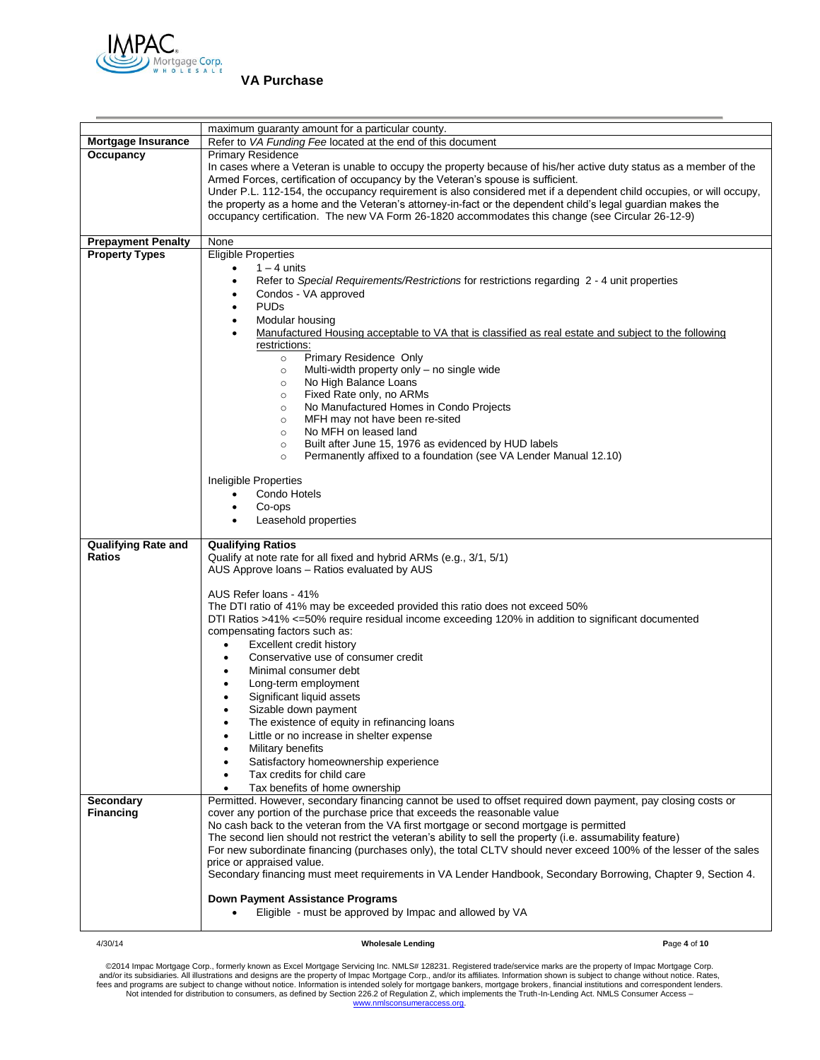

|                                                                 | maximum guaranty amount for a particular county.                                                                                                                                                                                                                                                                                                                                                                                                                                                                                                                                                                                                                                                                                                                                                                                                                                                                                                          |              |  |  |
|-----------------------------------------------------------------|-----------------------------------------------------------------------------------------------------------------------------------------------------------------------------------------------------------------------------------------------------------------------------------------------------------------------------------------------------------------------------------------------------------------------------------------------------------------------------------------------------------------------------------------------------------------------------------------------------------------------------------------------------------------------------------------------------------------------------------------------------------------------------------------------------------------------------------------------------------------------------------------------------------------------------------------------------------|--------------|--|--|
| Mortgage Insurance                                              | Refer to VA Funding Fee located at the end of this document                                                                                                                                                                                                                                                                                                                                                                                                                                                                                                                                                                                                                                                                                                                                                                                                                                                                                               |              |  |  |
| Occupancy                                                       | <b>Primary Residence</b>                                                                                                                                                                                                                                                                                                                                                                                                                                                                                                                                                                                                                                                                                                                                                                                                                                                                                                                                  |              |  |  |
|                                                                 | In cases where a Veteran is unable to occupy the property because of his/her active duty status as a member of the<br>Armed Forces, certification of occupancy by the Veteran's spouse is sufficient.<br>Under P.L. 112-154, the occupancy requirement is also considered met if a dependent child occupies, or will occupy,<br>the property as a home and the Veteran's attorney-in-fact or the dependent child's legal guardian makes the<br>occupancy certification. The new VA Form 26-1820 accommodates this change (see Circular 26-12-9)                                                                                                                                                                                                                                                                                                                                                                                                           |              |  |  |
| <b>Prepayment Penalty</b>                                       | None                                                                                                                                                                                                                                                                                                                                                                                                                                                                                                                                                                                                                                                                                                                                                                                                                                                                                                                                                      |              |  |  |
| <b>Property Types</b>                                           | <b>Eligible Properties</b>                                                                                                                                                                                                                                                                                                                                                                                                                                                                                                                                                                                                                                                                                                                                                                                                                                                                                                                                |              |  |  |
|                                                                 | $1 - 4$ units<br>$\bullet$<br>Refer to Special Requirements/Restrictions for restrictions regarding 2 - 4 unit properties<br>Condos - VA approved<br>٠<br><b>PUDs</b><br>$\bullet$<br>Modular housing<br>$\bullet$<br>Manufactured Housing acceptable to VA that is classified as real estate and subject to the following<br>$\bullet$<br>restrictions:<br>Primary Residence Only<br>$\circ$<br>Multi-width property only - no single wide<br>$\circ$<br>No High Balance Loans<br>$\circ$<br>Fixed Rate only, no ARMs<br>$\circ$<br>No Manufactured Homes in Condo Projects<br>$\circ$<br>MFH may not have been re-sited<br>$\circ$<br>No MFH on leased land<br>$\circ$                                                                                                                                                                                                                                                                                  |              |  |  |
|                                                                 | Built after June 15, 1976 as evidenced by HUD labels<br>$\circ$<br>Permanently affixed to a foundation (see VA Lender Manual 12.10)<br>$\circ$<br>Ineligible Properties<br>Condo Hotels<br>$\bullet$                                                                                                                                                                                                                                                                                                                                                                                                                                                                                                                                                                                                                                                                                                                                                      |              |  |  |
|                                                                 | Co-ops<br>$\bullet$<br>Leasehold properties                                                                                                                                                                                                                                                                                                                                                                                                                                                                                                                                                                                                                                                                                                                                                                                                                                                                                                               |              |  |  |
|                                                                 |                                                                                                                                                                                                                                                                                                                                                                                                                                                                                                                                                                                                                                                                                                                                                                                                                                                                                                                                                           |              |  |  |
| <b>Qualifying Rate and</b><br><b>Ratios</b><br><b>Secondary</b> | <b>Qualifying Ratios</b><br>Qualify at note rate for all fixed and hybrid ARMs (e.g., 3/1, 5/1)<br>AUS Approve loans - Ratios evaluated by AUS<br>AUS Refer loans - 41%<br>The DTI ratio of 41% may be exceeded provided this ratio does not exceed 50%<br>DTI Ratios >41% <= 50% require residual income exceeding 120% in addition to significant documented<br>compensating factors such as:<br>Excellent credit history<br>$\bullet$<br>Conservative use of consumer credit<br>$\bullet$<br>Minimal consumer debt<br>Long-term employment<br>Significant liquid assets<br>Sizable down payment<br>$\bullet$<br>The existence of equity in refinancing loans<br>Little or no increase in shelter expense<br>Military benefits<br>Satisfactory homeownership experience<br>Tax credits for child care<br>Tax benefits of home ownership<br>Permitted. However, secondary financing cannot be used to offset required down payment, pay closing costs or |              |  |  |
| <b>Financing</b>                                                | cover any portion of the purchase price that exceeds the reasonable value                                                                                                                                                                                                                                                                                                                                                                                                                                                                                                                                                                                                                                                                                                                                                                                                                                                                                 |              |  |  |
|                                                                 | No cash back to the veteran from the VA first mortgage or second mortgage is permitted<br>The second lien should not restrict the veteran's ability to sell the property (i.e. assumability feature)<br>For new subordinate financing (purchases only), the total CLTV should never exceed 100% of the lesser of the sales<br>price or appraised value.<br>Secondary financing must meet requirements in VA Lender Handbook, Secondary Borrowing, Chapter 9, Section 4.<br>Down Payment Assistance Programs<br>Eligible - must be approved by Impac and allowed by VA                                                                                                                                                                                                                                                                                                                                                                                     |              |  |  |
| 4/30/14                                                         | <b>Wholesale Lending</b>                                                                                                                                                                                                                                                                                                                                                                                                                                                                                                                                                                                                                                                                                                                                                                                                                                                                                                                                  | Page 4 of 10 |  |  |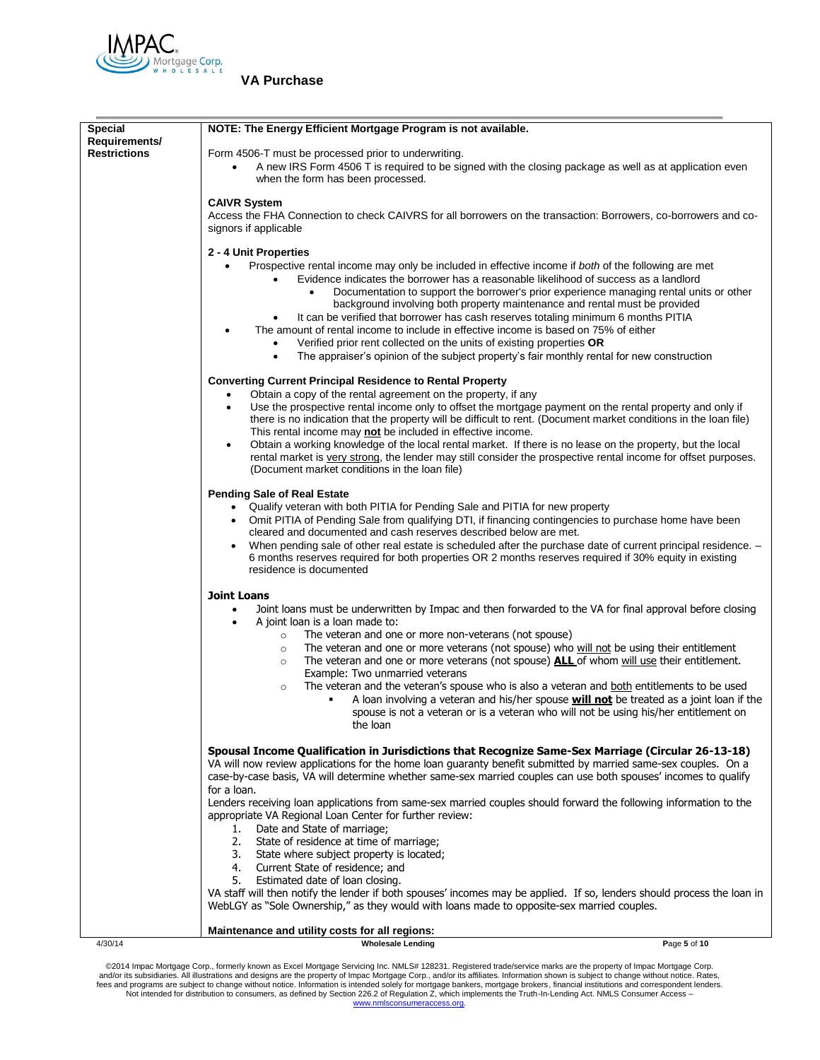

| <b>Special</b>      | NOTE: The Energy Efficient Mortgage Program is not available.                                                                                                                                                                             |              |  |  |  |
|---------------------|-------------------------------------------------------------------------------------------------------------------------------------------------------------------------------------------------------------------------------------------|--------------|--|--|--|
| Requirements/       |                                                                                                                                                                                                                                           |              |  |  |  |
| <b>Restrictions</b> | Form 4506-T must be processed prior to underwriting.<br>A new IRS Form 4506 T is required to be signed with the closing package as well as at application even<br>$\bullet$                                                               |              |  |  |  |
|                     | when the form has been processed.                                                                                                                                                                                                         |              |  |  |  |
|                     | <b>CAIVR System</b>                                                                                                                                                                                                                       |              |  |  |  |
|                     | Access the FHA Connection to check CAIVRS for all borrowers on the transaction: Borrowers, co-borrowers and co-                                                                                                                           |              |  |  |  |
|                     | signors if applicable                                                                                                                                                                                                                     |              |  |  |  |
|                     | 2 - 4 Unit Properties                                                                                                                                                                                                                     |              |  |  |  |
|                     | Prospective rental income may only be included in effective income if both of the following are met                                                                                                                                       |              |  |  |  |
|                     | Evidence indicates the borrower has a reasonable likelihood of success as a landlord                                                                                                                                                      |              |  |  |  |
|                     | Documentation to support the borrower's prior experience managing rental units or other<br>background involving both property maintenance and rental must be provided                                                                     |              |  |  |  |
|                     | It can be verified that borrower has cash reserves totaling minimum 6 months PITIA<br>٠                                                                                                                                                   |              |  |  |  |
|                     | The amount of rental income to include in effective income is based on 75% of either                                                                                                                                                      |              |  |  |  |
|                     | Verified prior rent collected on the units of existing properties OR<br>$\bullet$                                                                                                                                                         |              |  |  |  |
|                     | The appraiser's opinion of the subject property's fair monthly rental for new construction<br>٠                                                                                                                                           |              |  |  |  |
|                     | <b>Converting Current Principal Residence to Rental Property</b>                                                                                                                                                                          |              |  |  |  |
|                     | Obtain a copy of the rental agreement on the property, if any<br>$\bullet$<br>Use the prospective rental income only to offset the mortgage payment on the rental property and only if<br>$\bullet$                                       |              |  |  |  |
|                     | there is no indication that the property will be difficult to rent. (Document market conditions in the loan file)                                                                                                                         |              |  |  |  |
|                     | This rental income may not be included in effective income.                                                                                                                                                                               |              |  |  |  |
|                     | Obtain a working knowledge of the local rental market. If there is no lease on the property, but the local<br>$\bullet$<br>rental market is very strong, the lender may still consider the prospective rental income for offset purposes. |              |  |  |  |
|                     | (Document market conditions in the loan file)                                                                                                                                                                                             |              |  |  |  |
|                     |                                                                                                                                                                                                                                           |              |  |  |  |
|                     | <b>Pending Sale of Real Estate</b><br>Qualify veteran with both PITIA for Pending Sale and PITIA for new property                                                                                                                         |              |  |  |  |
|                     | Omit PITIA of Pending Sale from qualifying DTI, if financing contingencies to purchase home have been<br>$\bullet$                                                                                                                        |              |  |  |  |
|                     | cleared and documented and cash reserves described below are met.                                                                                                                                                                         |              |  |  |  |
|                     | When pending sale of other real estate is scheduled after the purchase date of current principal residence. -<br>6 months reserves required for both properties OR 2 months reserves required if 30% equity in existing                   |              |  |  |  |
|                     | residence is documented                                                                                                                                                                                                                   |              |  |  |  |
|                     |                                                                                                                                                                                                                                           |              |  |  |  |
|                     | <b>Joint Loans</b><br>Joint loans must be underwritten by Impac and then forwarded to the VA for final approval before closing                                                                                                            |              |  |  |  |
|                     | A joint loan is a loan made to:                                                                                                                                                                                                           |              |  |  |  |
|                     | The veteran and one or more non-veterans (not spouse)<br>$\circ$                                                                                                                                                                          |              |  |  |  |
|                     | The veteran and one or more veterans (not spouse) who will not be using their entitlement<br>$\circ$<br>The veteran and one or more veterans (not spouse) <b>ALL</b> of whom will use their entitlement.<br>$\circ$                       |              |  |  |  |
|                     | Example: Two unmarried veterans                                                                                                                                                                                                           |              |  |  |  |
|                     | The veteran and the veteran's spouse who is also a veteran and both entitlements to be used<br>$\circ$                                                                                                                                    |              |  |  |  |
|                     | A loan involving a veteran and his/her spouse <b>will not</b> be treated as a joint loan if the                                                                                                                                           |              |  |  |  |
|                     | spouse is not a veteran or is a veteran who will not be using his/her entitlement on<br>the loan                                                                                                                                          |              |  |  |  |
|                     |                                                                                                                                                                                                                                           |              |  |  |  |
|                     | Spousal Income Qualification in Jurisdictions that Recognize Same-Sex Marriage (Circular 26-13-18)<br>VA will now review applications for the home loan guaranty benefit submitted by married same-sex couples. On a                      |              |  |  |  |
|                     | case-by-case basis, VA will determine whether same-sex married couples can use both spouses' incomes to qualify                                                                                                                           |              |  |  |  |
|                     | for a loan.                                                                                                                                                                                                                               |              |  |  |  |
|                     | Lenders receiving loan applications from same-sex married couples should forward the following information to the                                                                                                                         |              |  |  |  |
|                     | appropriate VA Regional Loan Center for further review:<br>Date and State of marriage;<br>1.                                                                                                                                              |              |  |  |  |
|                     | 2.<br>State of residence at time of marriage;                                                                                                                                                                                             |              |  |  |  |
|                     | 3. State where subject property is located;                                                                                                                                                                                               |              |  |  |  |
|                     | 4. Current State of residence; and<br>5. Estimated date of loan closing.                                                                                                                                                                  |              |  |  |  |
|                     | VA staff will then notify the lender if both spouses' incomes may be applied. If so, lenders should process the loan in                                                                                                                   |              |  |  |  |
|                     | WebLGY as "Sole Ownership," as they would with loans made to opposite-sex married couples.                                                                                                                                                |              |  |  |  |
|                     | Maintenance and utility costs for all regions:                                                                                                                                                                                            |              |  |  |  |
| 4/30/14             | <b>Wholesale Lending</b>                                                                                                                                                                                                                  | Page 5 of 10 |  |  |  |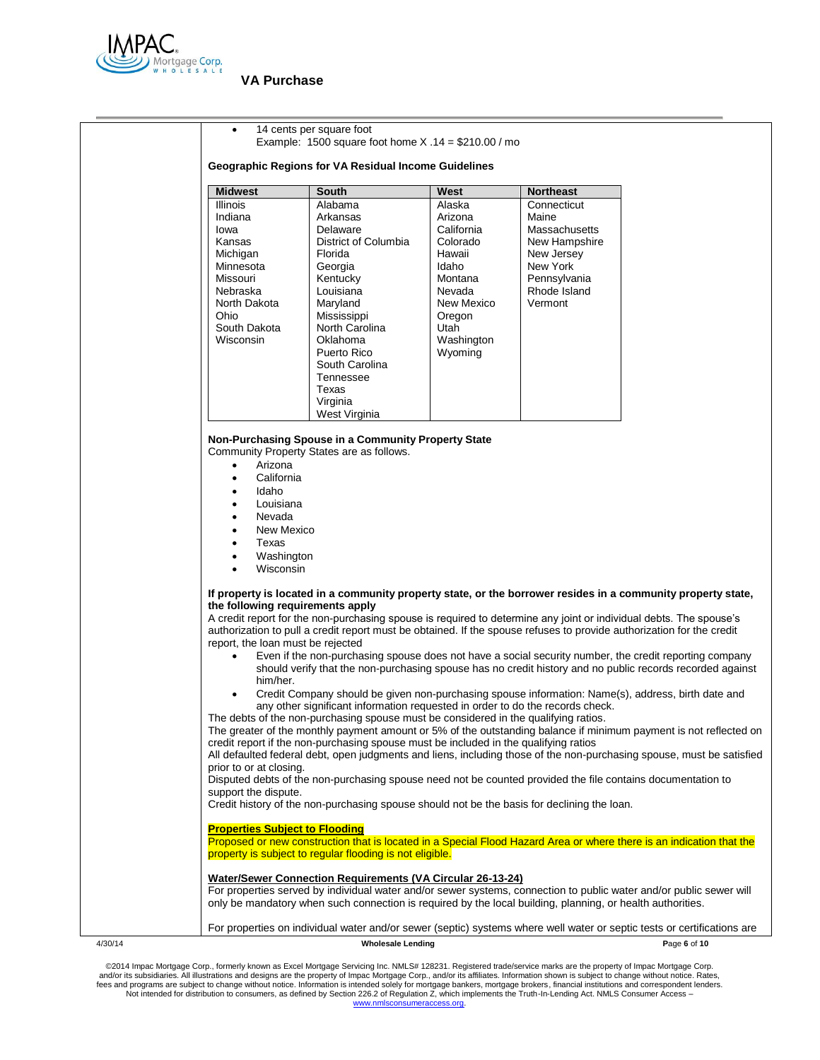

| 14 cents per square foot<br>Example: 1500 square foot home $X .14 = $210.00 /$ mo<br>Geographic Regions for VA Residual Income Guidelines                                                                                                                                                                                                                                                                                                                                                                                                                                                                                                                                                                                                                                                      |                                                                                                                                                                                                                                                     |                                                                                                                                              |                                                                                                                             |                                                                                                                                                                                                                                                                                                                                                                                                                                                                                                                                                                                    |
|------------------------------------------------------------------------------------------------------------------------------------------------------------------------------------------------------------------------------------------------------------------------------------------------------------------------------------------------------------------------------------------------------------------------------------------------------------------------------------------------------------------------------------------------------------------------------------------------------------------------------------------------------------------------------------------------------------------------------------------------------------------------------------------------|-----------------------------------------------------------------------------------------------------------------------------------------------------------------------------------------------------------------------------------------------------|----------------------------------------------------------------------------------------------------------------------------------------------|-----------------------------------------------------------------------------------------------------------------------------|------------------------------------------------------------------------------------------------------------------------------------------------------------------------------------------------------------------------------------------------------------------------------------------------------------------------------------------------------------------------------------------------------------------------------------------------------------------------------------------------------------------------------------------------------------------------------------|
| <b>Midwest</b>                                                                                                                                                                                                                                                                                                                                                                                                                                                                                                                                                                                                                                                                                                                                                                                 | South                                                                                                                                                                                                                                               | West                                                                                                                                         | <b>Northeast</b>                                                                                                            |                                                                                                                                                                                                                                                                                                                                                                                                                                                                                                                                                                                    |
| <b>Illinois</b><br>Indiana<br>lowa<br>Kansas<br>Michigan<br>Minnesota<br>Missouri<br>Nebraska<br>North Dakota<br>Ohio<br>South Dakota<br>Wisconsin                                                                                                                                                                                                                                                                                                                                                                                                                                                                                                                                                                                                                                             | Alabama<br>Arkansas<br>Delaware<br>District of Columbia<br>Florida<br>Georgia<br>Kentucky<br>Louisiana<br>Maryland<br>Mississippi<br>North Carolina<br>Oklahoma<br>Puerto Rico<br>South Carolina<br>Tennessee<br>Texas<br>Virginia<br>West Virginia | Alaska<br>Arizona<br>California<br>Colorado<br>Hawaii<br>Idaho<br>Montana<br>Nevada<br>New Mexico<br>Oregon<br>Utah<br>Washington<br>Wyoming | Connecticut<br>Maine<br>Massachusetts<br>New Hampshire<br>New Jersey<br>New York<br>Pennsylvania<br>Rhode Island<br>Vermont |                                                                                                                                                                                                                                                                                                                                                                                                                                                                                                                                                                                    |
| Arizona<br>California<br>$\bullet$<br>Idaho<br>٠<br>Louisiana<br>Nevada<br>New Mexico<br>Texas<br>Washington<br>Wisconsin<br>$\bullet$                                                                                                                                                                                                                                                                                                                                                                                                                                                                                                                                                                                                                                                         | Non-Purchasing Spouse in a Community Property State<br>Community Property States are as follows.                                                                                                                                                    |                                                                                                                                              |                                                                                                                             |                                                                                                                                                                                                                                                                                                                                                                                                                                                                                                                                                                                    |
| the following requirements apply<br>report, the loan must be rejected                                                                                                                                                                                                                                                                                                                                                                                                                                                                                                                                                                                                                                                                                                                          |                                                                                                                                                                                                                                                     |                                                                                                                                              |                                                                                                                             | If property is located in a community property state, or the borrower resides in a community property state,<br>A credit report for the non-purchasing spouse is required to determine any joint or individual debts. The spouse's<br>authorization to pull a credit report must be obtained. If the spouse refuses to provide authorization for the credit<br>Even if the non-purchasing spouse does not have a social security number, the credit reporting company<br>should verify that the non-purchasing spouse has no credit history and no public records recorded against |
| him/her.<br>Credit Company should be given non-purchasing spouse information: Name(s), address, birth date and<br>any other significant information requested in order to do the records check.<br>The debts of the non-purchasing spouse must be considered in the qualifying ratios.<br>The greater of the monthly payment amount or 5% of the outstanding balance if minimum payment is not reflected on<br>credit report if the non-purchasing spouse must be included in the qualifying ratios<br>All defaulted federal debt, open judgments and liens, including those of the non-purchasing spouse, must be satisfied<br>prior to or at closing.<br>Disputed debts of the non-purchasing spouse need not be counted provided the file contains documentation to<br>support the dispute. |                                                                                                                                                                                                                                                     |                                                                                                                                              |                                                                                                                             |                                                                                                                                                                                                                                                                                                                                                                                                                                                                                                                                                                                    |
| <b>Properties Subject to Flooding</b>                                                                                                                                                                                                                                                                                                                                                                                                                                                                                                                                                                                                                                                                                                                                                          | Credit history of the non-purchasing spouse should not be the basis for declining the loan.                                                                                                                                                         |                                                                                                                                              |                                                                                                                             |                                                                                                                                                                                                                                                                                                                                                                                                                                                                                                                                                                                    |
|                                                                                                                                                                                                                                                                                                                                                                                                                                                                                                                                                                                                                                                                                                                                                                                                | property is subject to regular flooding is not eligible.                                                                                                                                                                                            |                                                                                                                                              |                                                                                                                             | Proposed or new construction that is located in a Special Flood Hazard Area or where there is an indication that the                                                                                                                                                                                                                                                                                                                                                                                                                                                               |
|                                                                                                                                                                                                                                                                                                                                                                                                                                                                                                                                                                                                                                                                                                                                                                                                | <b>Water/Sewer Connection Requirements (VA Circular 26-13-24)</b><br>only be mandatory when such connection is required by the local building, planning, or health authorities.                                                                     |                                                                                                                                              |                                                                                                                             | For properties served by individual water and/or sewer systems, connection to public water and/or public sewer will                                                                                                                                                                                                                                                                                                                                                                                                                                                                |
|                                                                                                                                                                                                                                                                                                                                                                                                                                                                                                                                                                                                                                                                                                                                                                                                |                                                                                                                                                                                                                                                     |                                                                                                                                              |                                                                                                                             | For properties on individual water and/or sewer (septic) systems where well water or septic tests or certifications are                                                                                                                                                                                                                                                                                                                                                                                                                                                            |
|                                                                                                                                                                                                                                                                                                                                                                                                                                                                                                                                                                                                                                                                                                                                                                                                | <b>Wholesale Lending</b>                                                                                                                                                                                                                            |                                                                                                                                              |                                                                                                                             | Page 6 of 10                                                                                                                                                                                                                                                                                                                                                                                                                                                                                                                                                                       |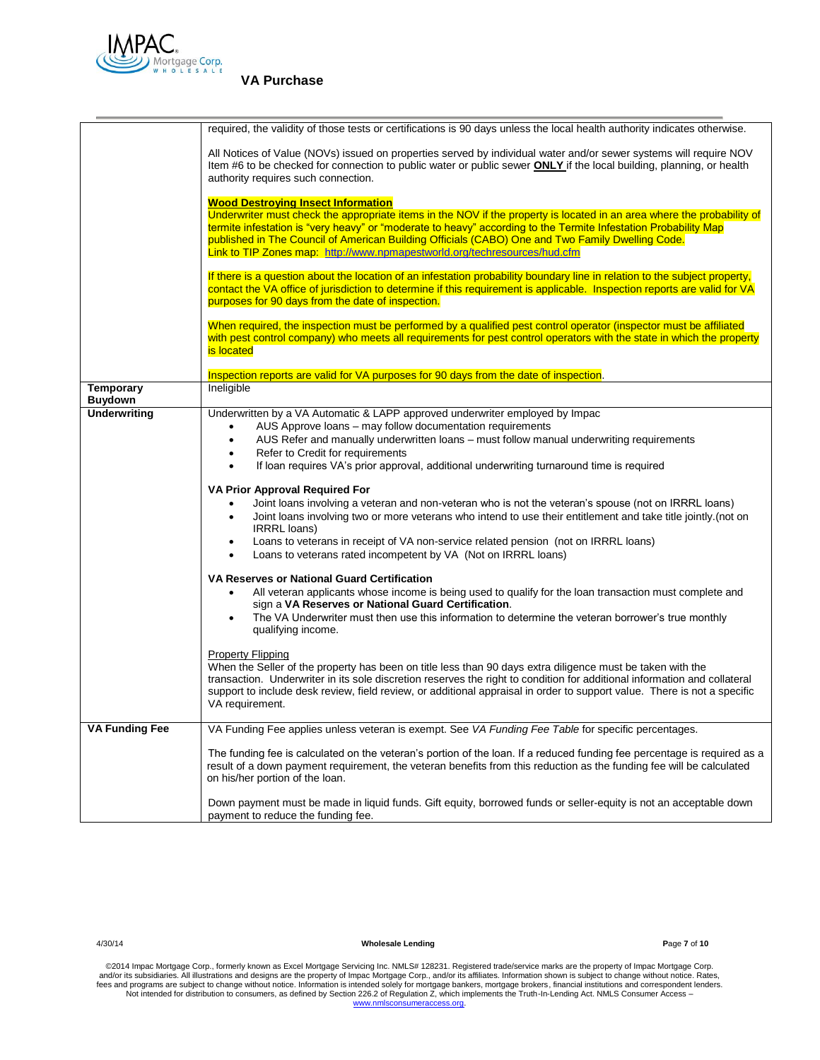

|                                    | required, the validity of those tests or certifications is 90 days unless the local health authority indicates otherwise.                                                                                                                                                                                                                                                                       |
|------------------------------------|-------------------------------------------------------------------------------------------------------------------------------------------------------------------------------------------------------------------------------------------------------------------------------------------------------------------------------------------------------------------------------------------------|
|                                    | All Notices of Value (NOVs) issued on properties served by individual water and/or sewer systems will require NOV<br>Item #6 to be checked for connection to public water or public sewer <b>ONLY</b> if the local building, planning, or health<br>authority requires such connection.                                                                                                         |
|                                    | <b>Wood Destroying Insect Information</b><br>Underwriter must check the appropriate items in the NOV if the property is located in an area where the probability of                                                                                                                                                                                                                             |
|                                    | termite infestation is "very heavy" or "moderate to heavy" according to the Termite Infestation Probability Map<br>published in The Council of American Building Officials (CABO) One and Two Family Dwelling Code.<br>Link to TIP Zones map: http://www.npmapestworld.org/techresources/hud.cfm                                                                                                |
|                                    | If there is a question about the location of an infestation probability boundary line in relation to the subject property,                                                                                                                                                                                                                                                                      |
|                                    | contact the VA office of jurisdiction to determine if this requirement is applicable. Inspection reports are valid for VA<br>purposes for 90 days from the date of inspection.                                                                                                                                                                                                                  |
|                                    | When required, the inspection must be performed by a qualified pest control operator (inspector must be affiliated<br>with pest control company) who meets all requirements for pest control operators with the state in which the property<br>is located                                                                                                                                       |
|                                    | Inspection reports are valid for VA purposes for 90 days from the date of inspection.                                                                                                                                                                                                                                                                                                           |
| <b>Temporary</b><br><b>Buydown</b> | Ineligible                                                                                                                                                                                                                                                                                                                                                                                      |
| <b>Underwriting</b>                | Underwritten by a VA Automatic & LAPP approved underwriter employed by Impac<br>AUS Approve loans - may follow documentation requirements<br>$\bullet$                                                                                                                                                                                                                                          |
|                                    | AUS Refer and manually underwritten loans - must follow manual underwriting requirements<br>$\bullet$                                                                                                                                                                                                                                                                                           |
|                                    | Refer to Credit for requirements<br>$\bullet$                                                                                                                                                                                                                                                                                                                                                   |
|                                    | If loan requires VA's prior approval, additional underwriting turnaround time is required<br>$\bullet$                                                                                                                                                                                                                                                                                          |
|                                    | VA Prior Approval Required For                                                                                                                                                                                                                                                                                                                                                                  |
|                                    | Joint loans involving a veteran and non-veteran who is not the veteran's spouse (not on IRRRL loans)<br>$\bullet$                                                                                                                                                                                                                                                                               |
|                                    | Joint loans involving two or more veterans who intend to use their entitlement and take title jointly. (not on<br>$\bullet$<br><b>IRRRL</b> loans)                                                                                                                                                                                                                                              |
|                                    | Loans to veterans in receipt of VA non-service related pension (not on IRRRL loans)<br>$\bullet$<br>Loans to veterans rated incompetent by VA (Not on IRRRL loans)<br>$\bullet$                                                                                                                                                                                                                 |
|                                    | <b>VA Reserves or National Guard Certification</b>                                                                                                                                                                                                                                                                                                                                              |
|                                    | All veteran applicants whose income is being used to qualify for the loan transaction must complete and<br>$\bullet$<br>sign a VA Reserves or National Guard Certification.                                                                                                                                                                                                                     |
|                                    | The VA Underwriter must then use this information to determine the veteran borrower's true monthly<br>$\bullet$<br>qualifying income.                                                                                                                                                                                                                                                           |
|                                    | <b>Property Flipping</b><br>When the Seller of the property has been on title less than 90 days extra diligence must be taken with the<br>transaction. Underwriter in its sole discretion reserves the right to condition for additional information and collateral<br>support to include desk review, field review, or additional appraisal in order to support value. There is not a specific |
|                                    | VA requirement.                                                                                                                                                                                                                                                                                                                                                                                 |
| <b>VA Funding Fee</b>              | VA Funding Fee applies unless veteran is exempt. See VA Funding Fee Table for specific percentages.                                                                                                                                                                                                                                                                                             |
|                                    | The funding fee is calculated on the veteran's portion of the loan. If a reduced funding fee percentage is required as a<br>result of a down payment requirement, the veteran benefits from this reduction as the funding fee will be calculated<br>on his/her portion of the loan.                                                                                                             |
|                                    | Down payment must be made in liquid funds. Gift equity, borrowed funds or seller-equity is not an acceptable down<br>payment to reduce the funding fee.                                                                                                                                                                                                                                         |

4/30/14 **Wholesale Lending P**age **7** of **10**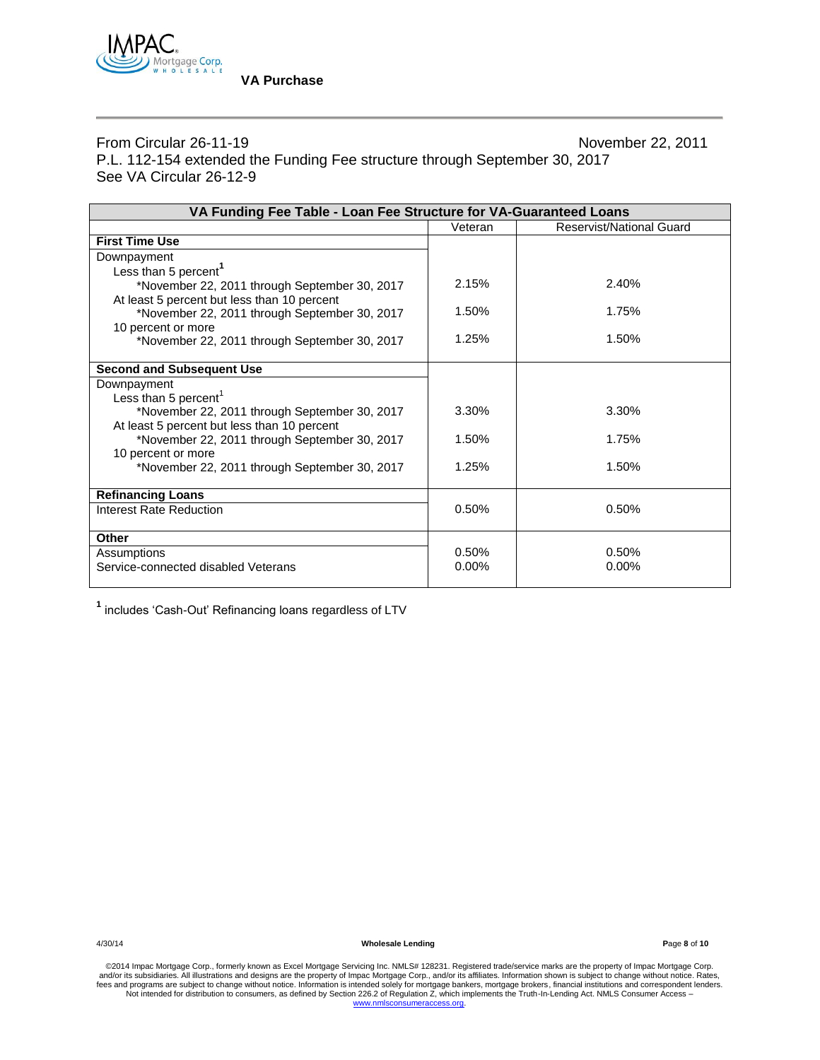

From Circular 26-11-19 November 22, 2011 P.L. 112-154 extended the Funding Fee structure through September 30, 2017 See VA Circular 26-12-9

| VA Funding Fee Table - Loan Fee Structure for VA-Guaranteed Loans |          |                          |  |  |
|-------------------------------------------------------------------|----------|--------------------------|--|--|
|                                                                   | Veteran  | Reservist/National Guard |  |  |
| <b>First Time Use</b>                                             |          |                          |  |  |
| Downpayment                                                       |          |                          |  |  |
| Less than 5 percent <sup>1</sup>                                  |          |                          |  |  |
| *November 22, 2011 through September 30, 2017                     | 2.15%    | 2.40%                    |  |  |
| At least 5 percent but less than 10 percent                       |          |                          |  |  |
| *November 22, 2011 through September 30, 2017                     | 1.50%    | 1.75%                    |  |  |
| 10 percent or more                                                |          |                          |  |  |
| *November 22, 2011 through September 30, 2017                     | 1.25%    | 1.50%                    |  |  |
|                                                                   |          |                          |  |  |
| <b>Second and Subsequent Use</b>                                  |          |                          |  |  |
| Downpayment                                                       |          |                          |  |  |
| Less than 5 percent <sup>1</sup>                                  |          |                          |  |  |
| *November 22, 2011 through September 30, 2017                     | 3.30%    | 3.30%                    |  |  |
| At least 5 percent but less than 10 percent                       |          |                          |  |  |
| *November 22, 2011 through September 30, 2017                     | 1.50%    | 1.75%                    |  |  |
| 10 percent or more                                                |          |                          |  |  |
| *November 22, 2011 through September 30, 2017                     | 1.25%    | 1.50%                    |  |  |
|                                                                   |          |                          |  |  |
| <b>Refinancing Loans</b>                                          |          |                          |  |  |
| Interest Rate Reduction                                           | 0.50%    | 0.50%                    |  |  |
|                                                                   |          |                          |  |  |
| <b>Other</b>                                                      |          |                          |  |  |
| Assumptions                                                       | 0.50%    | 0.50%                    |  |  |
| Service-connected disabled Veterans                               | $0.00\%$ | $0.00\%$                 |  |  |
|                                                                   |          |                          |  |  |

**1** includes 'Cash-Out' Refinancing loans regardless of LTV

4/30/14 **Wholesale Lending P**age **8** of **10**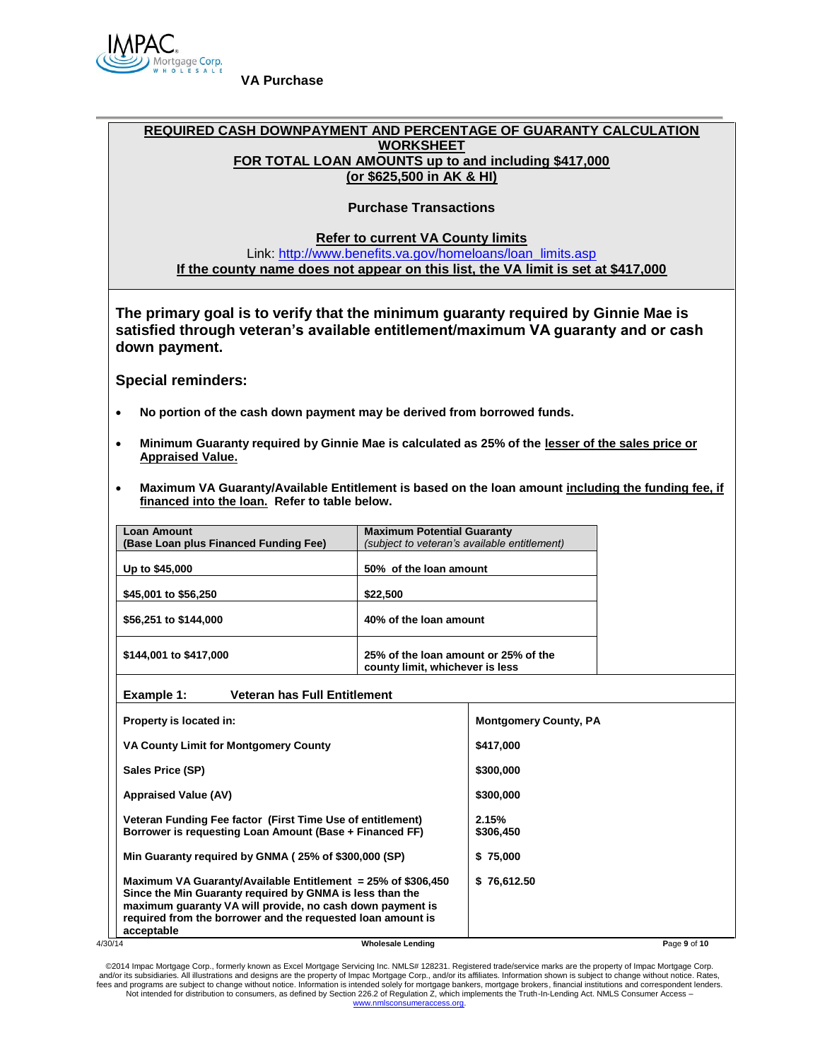

# **REQUIRED CASH DOWNPAYMENT AND PERCENTAGE OF GUARANTY CALCULATION WORKSHEET FOR TOTAL LOAN AMOUNTS up to and including \$417,000 (or \$625,500 in AK & HI)**

# **Purchase Transactions**

**Refer to current VA County limits**

Link: [http://www.benefits.va.gov/homeloans/loan\\_limits.asp](http://www.benefits.va.gov/homeloans/loan_limits.asp) **If the county name does not appear on this list, the VA limit is set at \$417,000**

**The primary goal is to verify that the minimum guaranty required by Ginnie Mae is satisfied through veteran's available entitlement/maximum VA guaranty and or cash down payment.**

**Special reminders:**

- **No portion of the cash down payment may be derived from borrowed funds.**
- **Minimum Guaranty required by Ginnie Mae is calculated as 25% of the lesser of the sales price or Appraised Value.**
- **Maximum VA Guaranty/Available Entitlement is based on the loan amount including the funding fee, if financed into the loan. Refer to table below.**

| <b>Loan Amount</b><br>(Base Loan plus Financed Funding Fee) | <b>Maximum Potential Guaranty</b><br>(subject to veteran's available entitlement) |
|-------------------------------------------------------------|-----------------------------------------------------------------------------------|
| Up to \$45,000                                              | 50% of the loan amount                                                            |
| \$45,001 to \$56,250                                        | \$22,500                                                                          |
| \$56,251 to \$144,000                                       | 40% of the loan amount                                                            |
| \$144,001 to \$417,000                                      | 25% of the loan amount or 25% of the<br>county limit, whichever is less           |

**Example 1: Veteran has Full Entitlement**

|         | Property is located in:                                                                                                                                                                                                                                               | <b>Montgomery County, PA</b> |  |
|---------|-----------------------------------------------------------------------------------------------------------------------------------------------------------------------------------------------------------------------------------------------------------------------|------------------------------|--|
|         | VA County Limit for Montgomery County                                                                                                                                                                                                                                 | \$417,000                    |  |
|         | Sales Price (SP)                                                                                                                                                                                                                                                      | \$300,000                    |  |
|         | <b>Appraised Value (AV)</b>                                                                                                                                                                                                                                           | \$300,000                    |  |
|         | Veteran Funding Fee factor (First Time Use of entitlement)<br>Borrower is requesting Loan Amount (Base + Financed FF)                                                                                                                                                 | 2.15%<br>\$306,450           |  |
|         | Min Guaranty required by GNMA (25% of \$300,000 (SP)                                                                                                                                                                                                                  | \$75,000                     |  |
|         | Maximum VA Guaranty/Available Entitlement = $25\%$ of \$306,450<br>Since the Min Guaranty required by GNMA is less than the<br>maximum guaranty VA will provide, no cash down payment is<br>required from the borrower and the requested loan amount is<br>acceptable | \$76,612.50                  |  |
| 4/30/14 | <b>Wholesale Lending</b>                                                                                                                                                                                                                                              | Page 9 of 10                 |  |

©2014 Impac Mortgage Corp., formerly known as Excel Mortgage Servicing Inc. NMLS# 128231. Registered trade/service marks are the property of Impac Mortgage Corp.<br>and/or its subsidiaries. All illustrations and designs are t fees and programs are subject to change without notice. Information is intended solely for mortgage bankers, mortgage brokers, financial institutions and correspondent lenders.<br>Not intended for distribution to consumers, a [www.nmlsconsumeraccess.org.](http://www.nmlsconsumeraccess.org/)